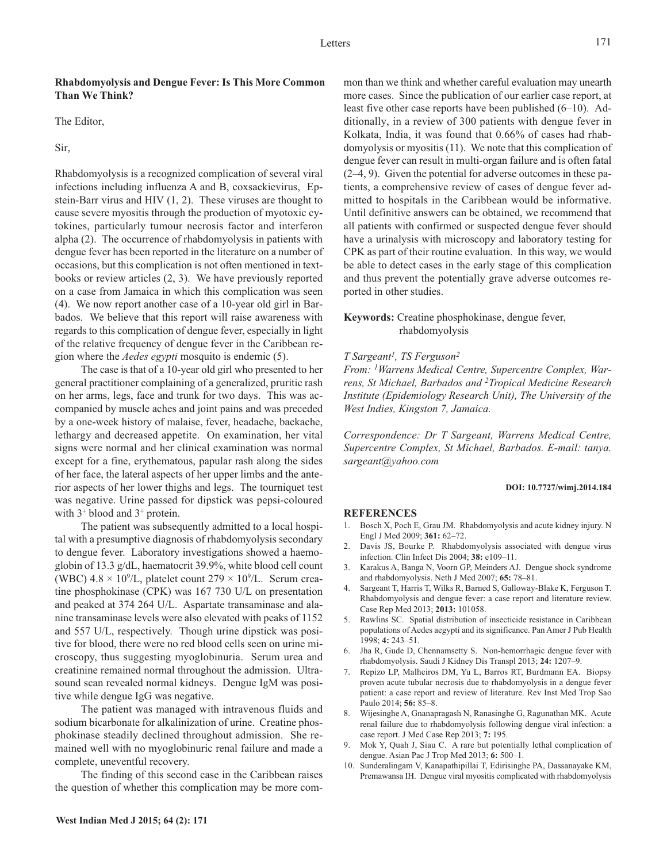## **Rhabdomyolysis and Dengue Fever: Is This More Common Than We Think?**

The Editor,

Sir,

Rhabdomyolysis is a recognized complication of several viral infections including influenza A and B, coxsackievirus, Epstein-Barr virus and HIV (1, 2). These viruses are thought to cause severe myositis through the production of myotoxic cytokines, particularly tumour necrosis factor and interferon alpha (2). The occurrence of rhabdomyolysis in patients with dengue fever has been reported in the literature on a number of occasions, but this complication is not often mentioned in textbooks or review articles (2, 3). We have previously reported on a case from Jamaica in which this complication was seen (4). We now report another case of a 10-year old girl in Barbados. We believe that this report will raise awareness with regards to this complication of dengue fever, especially in light of the relative frequency of dengue fever in the Caribbean region where the *Aedes egypti* mosquito is endemic (5).

The case is that of a 10-year old girl who presented to her general practitioner complaining of a generalized, pruritic rash on her arms, legs, face and trunk for two days. This was accompanied by muscle aches and joint pains and was preceded by a one-week history of malaise, fever, headache, backache, lethargy and decreased appetite. On examination, her vital signs were normal and her clinical examination was normal except for a fine, erythematous, papular rash along the sides of her face, the lateral aspects of her upper limbs and the anterior aspects of her lower thighs and legs. The tourniquet test was negative. Urine passed for dipstick was pepsi-coloured with  $3^+$  blood and  $3^+$  protein.

The patient was subsequently admitted to a local hospital with a presumptive diagnosis of rhabdomyolysis secondary to dengue fever. Laboratory investigations showed a haemoglobin of 13.3 g/dL, haematocrit 39.9%, white blood cell count (WBC)  $4.8 \times 10^9$ /L, platelet count  $279 \times 10^9$ /L. Serum creatine phosphokinase (CPK) was 167 730 U/L on presentation and peaked at 374 264 U/L. Aspartate transaminase and alanine transaminase levels were also elevated with peaks of 1152 and 557 U/L, respectively. Though urine dipstick was positive for blood, there were no red blood cells seen on urine microscopy, thus suggesting myoglobinuria. Serum urea and creatinine remained normal throughout the admission. Ultrasound scan revealed normal kidneys. Dengue IgM was positive while dengue IgG was negative.

The patient was managed with intravenous fluids and sodium bicarbonate for alkalinization of urine. Creatine phosphokinase steadily declined throughout admission. She remained well with no myoglobinuric renal failure and made a complete, uneventful recovery.

The finding of this second case in the Caribbean raises the question of whether this complication may be more com-

mon than we think and whether careful evaluation may unearth more cases. Since the publication of our earlier case report, at least five other case reports have been published (6–10). Additionally, in a review of 300 patients with dengue fever in Kolkata, India, it was found that 0.66% of cases had rhabdomyolysis or myositis (11). We note that this complication of dengue fever can result in multi-organ failure and is often fatal (2–4, 9). Given the potential for adverse outcomes in these patients, a comprehensive review of cases of dengue fever admitted to hospitals in the Caribbean would be informative. Until definitive answers can be obtained, we recommend that all patients with confirmed or suspected dengue fever should have a urinalysis with microscopy and laboratory testing for CPK as part of their routine evaluation. In this way, we would be able to detect cases in the early stage of this complication and thus prevent the potentially grave adverse outcomes reported in other studies.

## **Keywords:** Creatine phosphokinase, dengue fever, rhabdomyolysis

### *T Sargeant1, TS Ferguson2*

*From: 1Warrens Medical Centre, Supercentre Complex, Warrens, St Michael, Barbados and 2Tropical Medicine Research Institute (Epidemiology Research Unit), The University of the West Indies, Kingston 7, Jamaica.*

*Correspondence: Dr T Sargeant, Warrens Medical Centre, Supercentre Complex, St Michael, Barbados. E-mail: tanya. sargeant@yahoo.com*

#### **DOI: 10.7727/wimj.2014.184**

#### **REFERENCES**

- 1. Bosch X, Poch E, Grau JM. Rhabdomyolysis and acute kidney injury. N Engl J Med 2009; **361:** 62–72.
- 2. Davis JS, Bourke P. Rhabdomyolysis associated with dengue virus infection. Clin Infect Dis 2004; **38:** e109–11.
- 3. Karakus A, Banga N, Voorn GP, Meinders AJ. Dengue shock syndrome and rhabdomyolysis. Neth J Med 2007; **65:** 78–81.
- 4. Sargeant T, Harris T, Wilks R, Barned S, Galloway-Blake K, Ferguson T. Rhabdomyolysis and dengue fever: a case report and literature review. Case Rep Med 2013; **2013:** 101058.
- 5. Rawlins SC. Spatial distribution of insecticide resistance in Caribbean populations of Aedes aegypti and its significance. Pan Amer J Pub Health 1998; **4:** 243–51.
- 6. Jha R, Gude D, Chennamsetty S. Non-hemorrhagic dengue fever with rhabdomyolysis. Saudi J Kidney Dis Transpl 2013; **24:** 1207–9.
- 7. Repizo LP, Malheiros DM, Yu L, Barros RT, Burdmann EA. Biopsy proven acute tubular necrosis due to rhabdomyolysis in a dengue fever patient: a case report and review of literature. Rev Inst Med Trop Sao Paulo 2014; **56:** 85–8.
- 8. Wijesinghe A, Gnanapragash N, Ranasinghe G, Ragunathan MK. Acute renal failure due to rhabdomyolysis following dengue viral infection: a case report. J Med Case Rep 2013; **7:** 195.
- 9. Mok Y, Quah J, Siau C. A rare but potentially lethal complication of dengue. Asian Pac J Trop Med 2013; **6:** 500–1.
- 10. Sunderalingam V, Kanapathipillai T, Edirisinghe PA, Dassanayake KM, Premawansa IH. Dengue viral myositis complicated with rhabdomyolysis